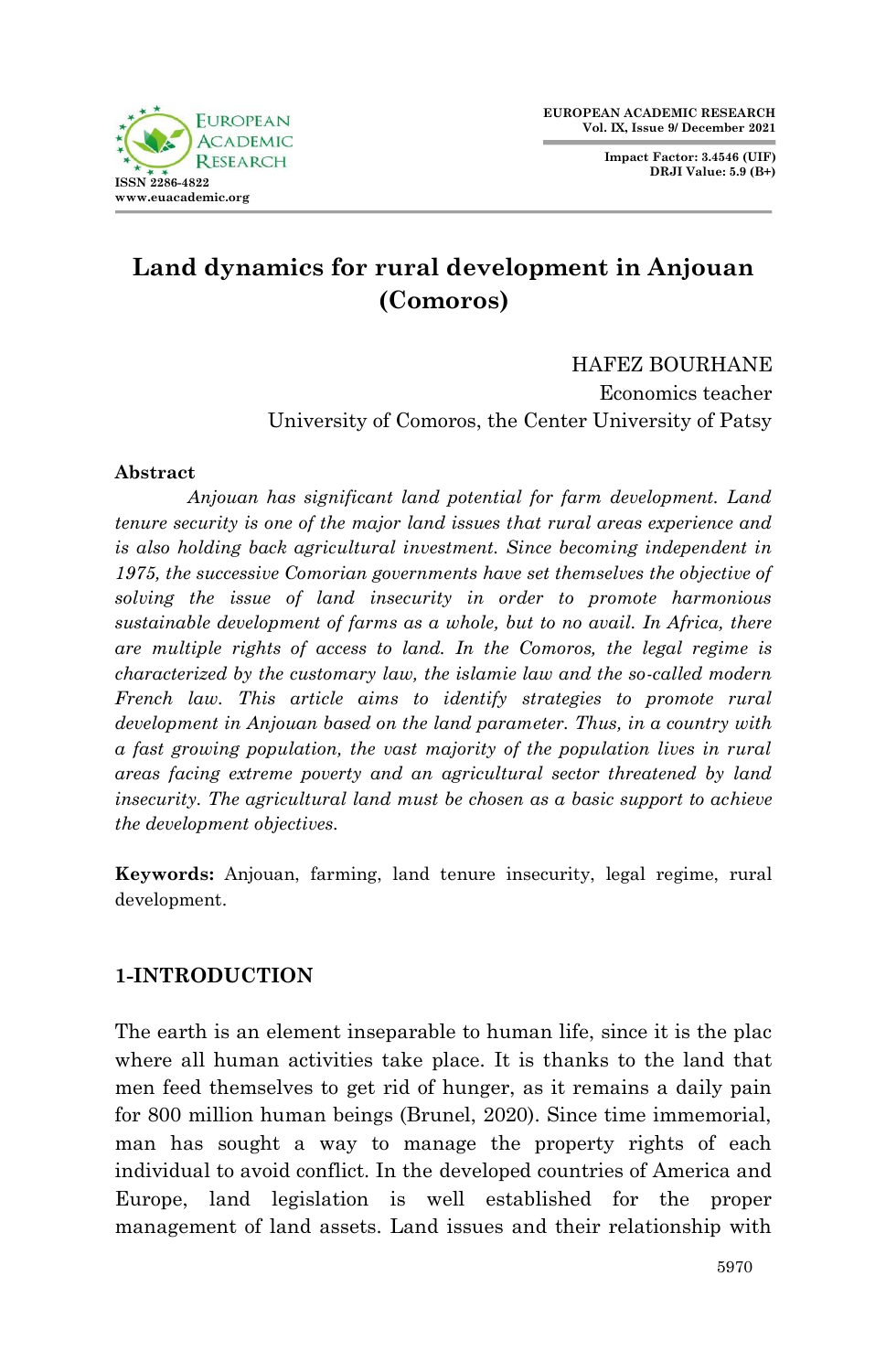**Impact Factor: 3.4546 (UIF) DRJI Value: 5.9 (B+)**



# **Land dynamics for rural development in Anjouan (Comoros)**

HAFEZ BOURHANE

Economics teacher University of Comoros, the Center University of Patsy

#### **Abstract**

*Anjouan has significant land potential for farm development. Land tenure security is one of the major land issues that rural areas experience and is also holding back agricultural investment. Since becoming independent in 1975, the successive Comorian governments have set themselves the objective of solving the issue of land insecurity in order to promote harmonious sustainable development of farms as a whole, but to no avail. In Africa, there are multiple rights of access to land. In the Comoros, the legal regime is characterized by the customary law, the islamie law and the so-called modern French law. This article aims to identify strategies to promote rural development in Anjouan based on the land parameter. Thus, in a country with a fast growing population, the vast majority of the population lives in rural areas facing extreme poverty and an agricultural sector threatened by land insecurity. The agricultural land must be chosen as a basic support to achieve the development objectives.*

**Keywords:** Anjouan, farming, land tenure insecurity, legal regime, rural development.

### **1-INTRODUCTION**

The earth is an element inseparable to human life, since it is the plac where all human activities take place. It is thanks to the land that men feed themselves to get rid of hunger, as it remains a daily pain for 800 million human beings (Brunel, 2020). Since time immemorial, man has sought a way to manage the property rights of each individual to avoid conflict. In the developed countries of America and Europe, land legislation is well established for the proper management of land assets. Land issues and their relationship with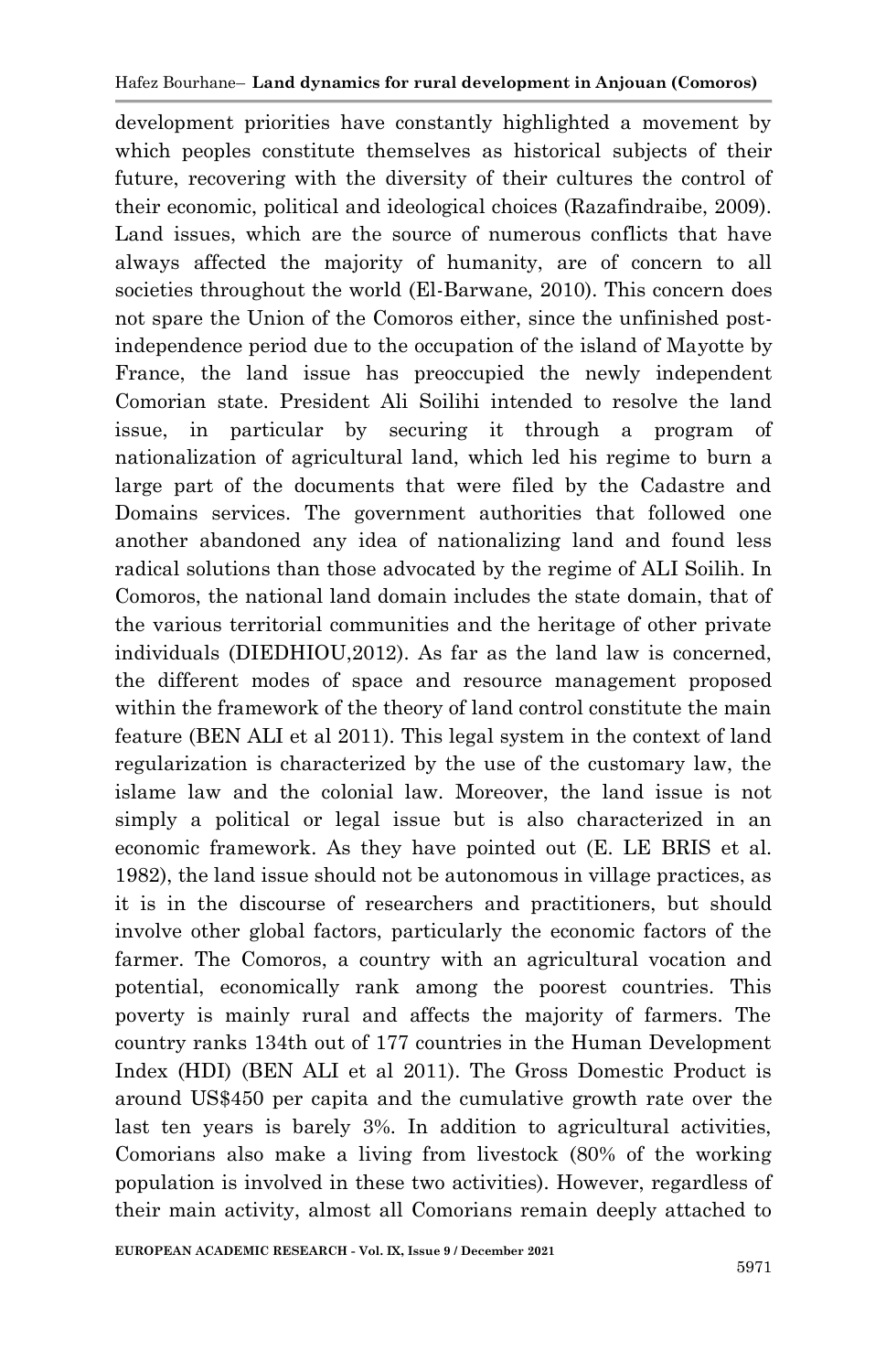development priorities have constantly highlighted a movement by which peoples constitute themselves as historical subjects of their future, recovering with the diversity of their cultures the control of their economic, political and ideological choices (Razafindraibe, 2009). Land issues, which are the source of numerous conflicts that have always affected the majority of humanity, are of concern to all societies throughout the world (El-Barwane, 2010). This concern does not spare the Union of the Comoros either, since the unfinished postindependence period due to the occupation of the island of Mayotte by France, the land issue has preoccupied the newly independent Comorian state. President Ali Soilihi intended to resolve the land issue, in particular by securing it through a program of nationalization of agricultural land, which led his regime to burn a large part of the documents that were filed by the Cadastre and Domains services. The government authorities that followed one another abandoned any idea of nationalizing land and found less radical solutions than those advocated by the regime of ALI Soilih. In Comoros, the national land domain includes the state domain, that of the various territorial communities and the heritage of other private individuals (DIEDHIOU,2012). As far as the land law is concerned, the different modes of space and resource management proposed within the framework of the theory of land control constitute the main feature (BEN ALI et al 2011). This legal system in the context of land regularization is characterized by the use of the customary law, the islame law and the colonial law. Moreover, the land issue is not simply a political or legal issue but is also characterized in an economic framework. As they have pointed out (E. LE BRIS et al. 1982), the land issue should not be autonomous in village practices, as it is in the discourse of researchers and practitioners, but should involve other global factors, particularly the economic factors of the farmer. The Comoros, a country with an agricultural vocation and potential, economically rank among the poorest countries. This poverty is mainly rural and affects the majority of farmers. The country ranks 134th out of 177 countries in the Human Development Index (HDI) (BEN ALI et al 2011). The Gross Domestic Product is around US\$450 per capita and the cumulative growth rate over the last ten years is barely 3%. In addition to agricultural activities, Comorians also make a living from livestock (80% of the working population is involved in these two activities). However, regardless of their main activity, almost all Comorians remain deeply attached to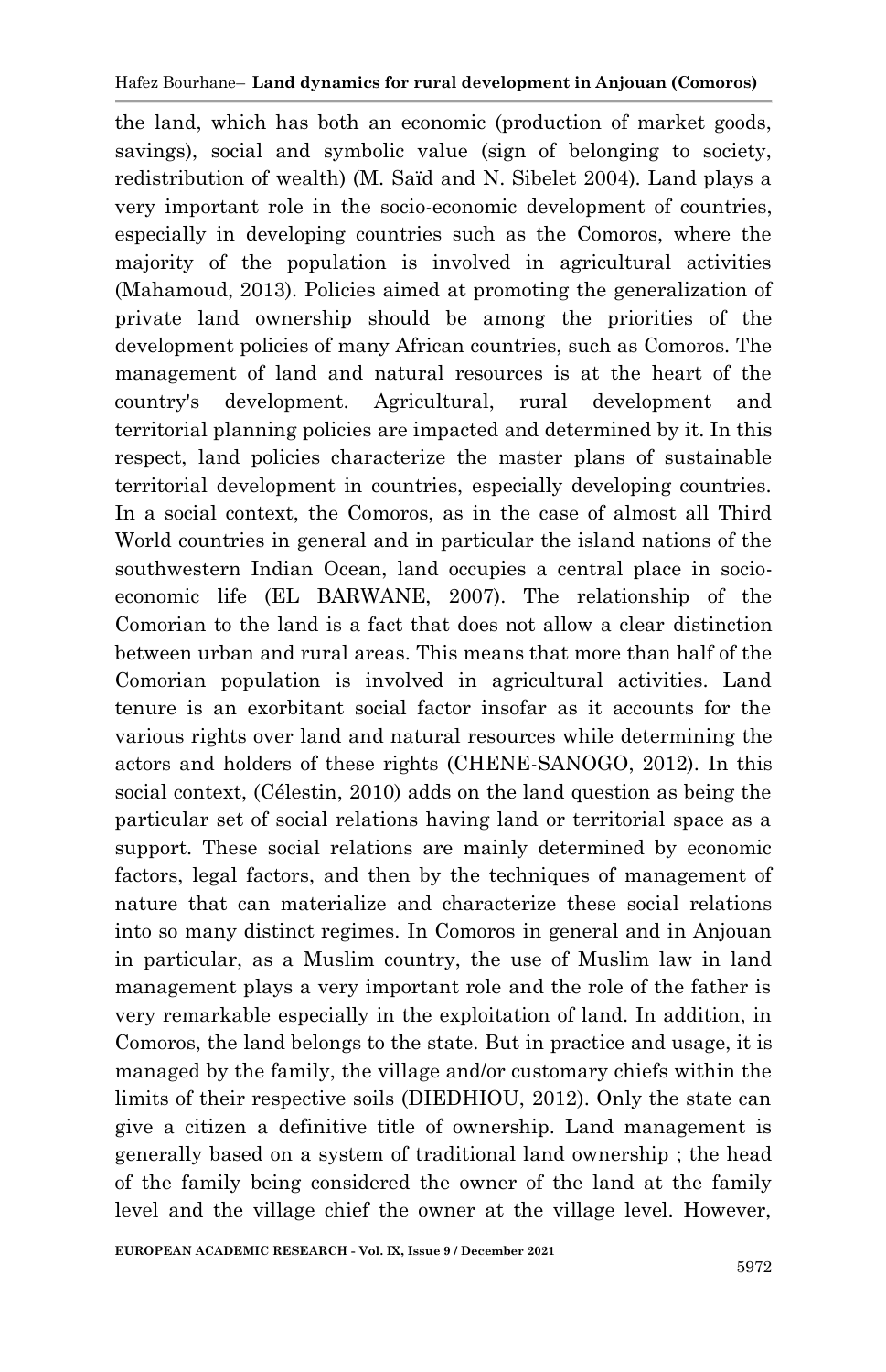the land, which has both an economic (production of market goods, savings), social and symbolic value (sign of belonging to society, redistribution of wealth) (M. Saïd and N. Sibelet 2004). Land plays a very important role in the socio-economic development of countries, especially in developing countries such as the Comoros, where the majority of the population is involved in agricultural activities (Mahamoud, 2013). Policies aimed at promoting the generalization of private land ownership should be among the priorities of the development policies of many African countries, such as Comoros. The management of land and natural resources is at the heart of the country's development. Agricultural, rural development and territorial planning policies are impacted and determined by it. In this respect, land policies characterize the master plans of sustainable territorial development in countries, especially developing countries. In a social context, the Comoros, as in the case of almost all Third World countries in general and in particular the island nations of the southwestern Indian Ocean, land occupies a central place in socioeconomic life (EL BARWANE, 2007). The relationship of the Comorian to the land is a fact that does not allow a clear distinction between urban and rural areas. This means that more than half of the Comorian population is involved in agricultural activities. Land tenure is an exorbitant social factor insofar as it accounts for the various rights over land and natural resources while determining the actors and holders of these rights (CHENE-SANOGO, 2012). In this social context, (Célestin, 2010) adds on the land question as being the particular set of social relations having land or territorial space as a support. These social relations are mainly determined by economic factors, legal factors, and then by the techniques of management of nature that can materialize and characterize these social relations into so many distinct regimes. In Comoros in general and in Anjouan in particular, as a Muslim country, the use of Muslim law in land management plays a very important role and the role of the father is very remarkable especially in the exploitation of land. In addition, in Comoros, the land belongs to the state. But in practice and usage, it is managed by the family, the village and/or customary chiefs within the limits of their respective soils (DIEDHIOU, 2012). Only the state can give a citizen a definitive title of ownership. Land management is generally based on a system of traditional land ownership ; the head of the family being considered the owner of the land at the family level and the village chief the owner at the village level. However,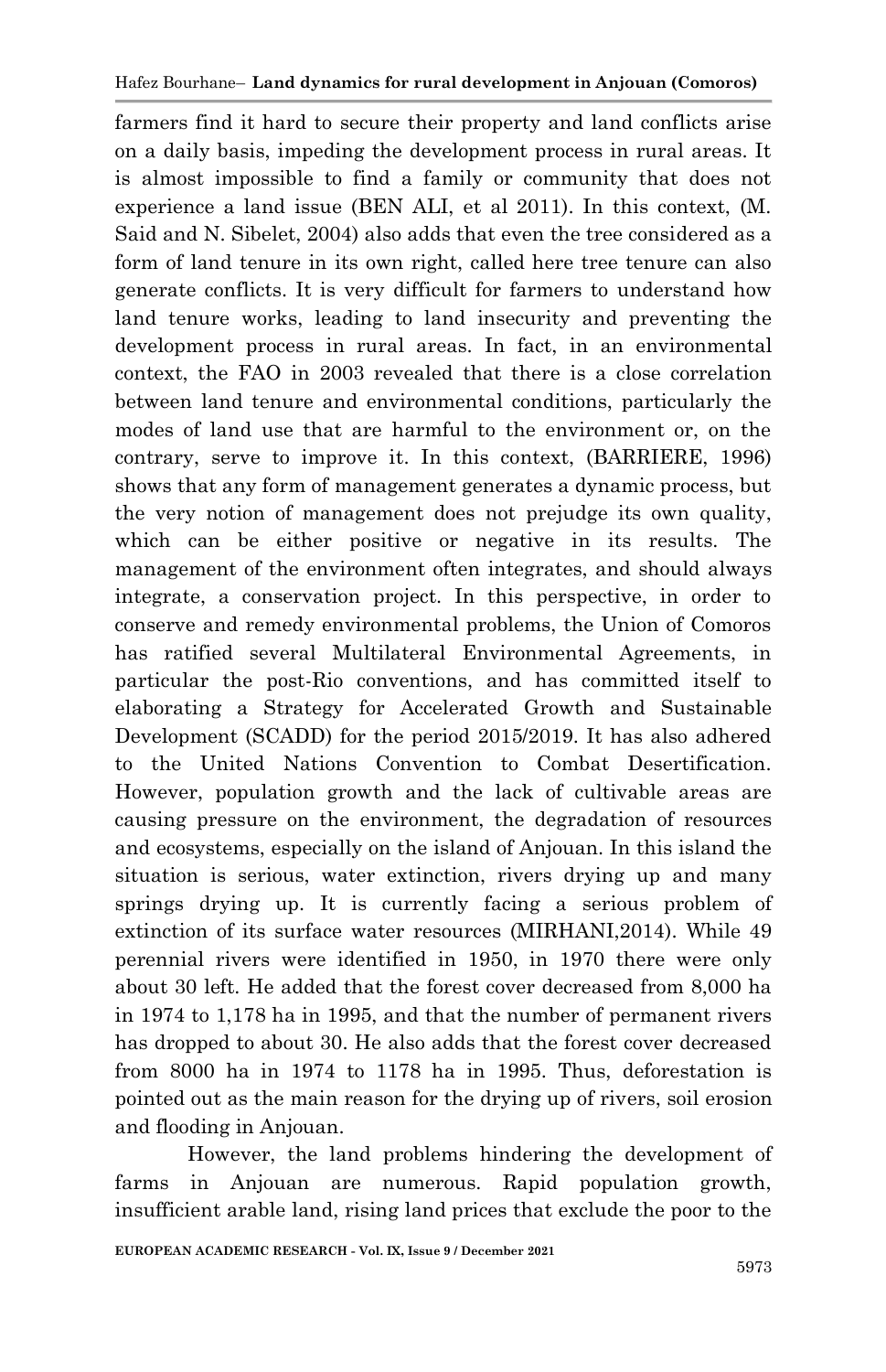farmers find it hard to secure their property and land conflicts arise on a daily basis, impeding the development process in rural areas. It is almost impossible to find a family or community that does not experience a land issue (BEN ALI, et al 2011). In this context, (M. Said and N. Sibelet, 2004) also adds that even the tree considered as a form of land tenure in its own right, called here tree tenure can also generate conflicts. It is very difficult for farmers to understand how land tenure works, leading to land insecurity and preventing the development process in rural areas. In fact, in an environmental context, the FAO in 2003 revealed that there is a close correlation between land tenure and environmental conditions, particularly the modes of land use that are harmful to the environment or, on the contrary, serve to improve it. In this context, (BARRIERE, 1996) shows that any form of management generates a dynamic process, but the very notion of management does not prejudge its own quality, which can be either positive or negative in its results. The management of the environment often integrates, and should always integrate, a conservation project. In this perspective, in order to conserve and remedy environmental problems, the Union of Comoros has ratified several Multilateral Environmental Agreements, in particular the post-Rio conventions, and has committed itself to elaborating a Strategy for Accelerated Growth and Sustainable Development (SCADD) for the period 2015/2019. It has also adhered to the United Nations Convention to Combat Desertification. However, population growth and the lack of cultivable areas are causing pressure on the environment, the degradation of resources and ecosystems, especially on the island of Anjouan. In this island the situation is serious, water extinction, rivers drying up and many springs drying up. It is currently facing a serious problem of extinction of its surface water resources (MIRHANI,2014). While 49 perennial rivers were identified in 1950, in 1970 there were only about 30 left. He added that the forest cover decreased from 8,000 ha in 1974 to 1,178 ha in 1995, and that the number of permanent rivers has dropped to about 30. He also adds that the forest cover decreased from 8000 ha in 1974 to 1178 ha in 1995. Thus, deforestation is pointed out as the main reason for the drying up of rivers, soil erosion and flooding in Anjouan.

However, the land problems hindering the development of farms in Anjouan are numerous. Rapid population growth, insufficient arable land, rising land prices that exclude the poor to the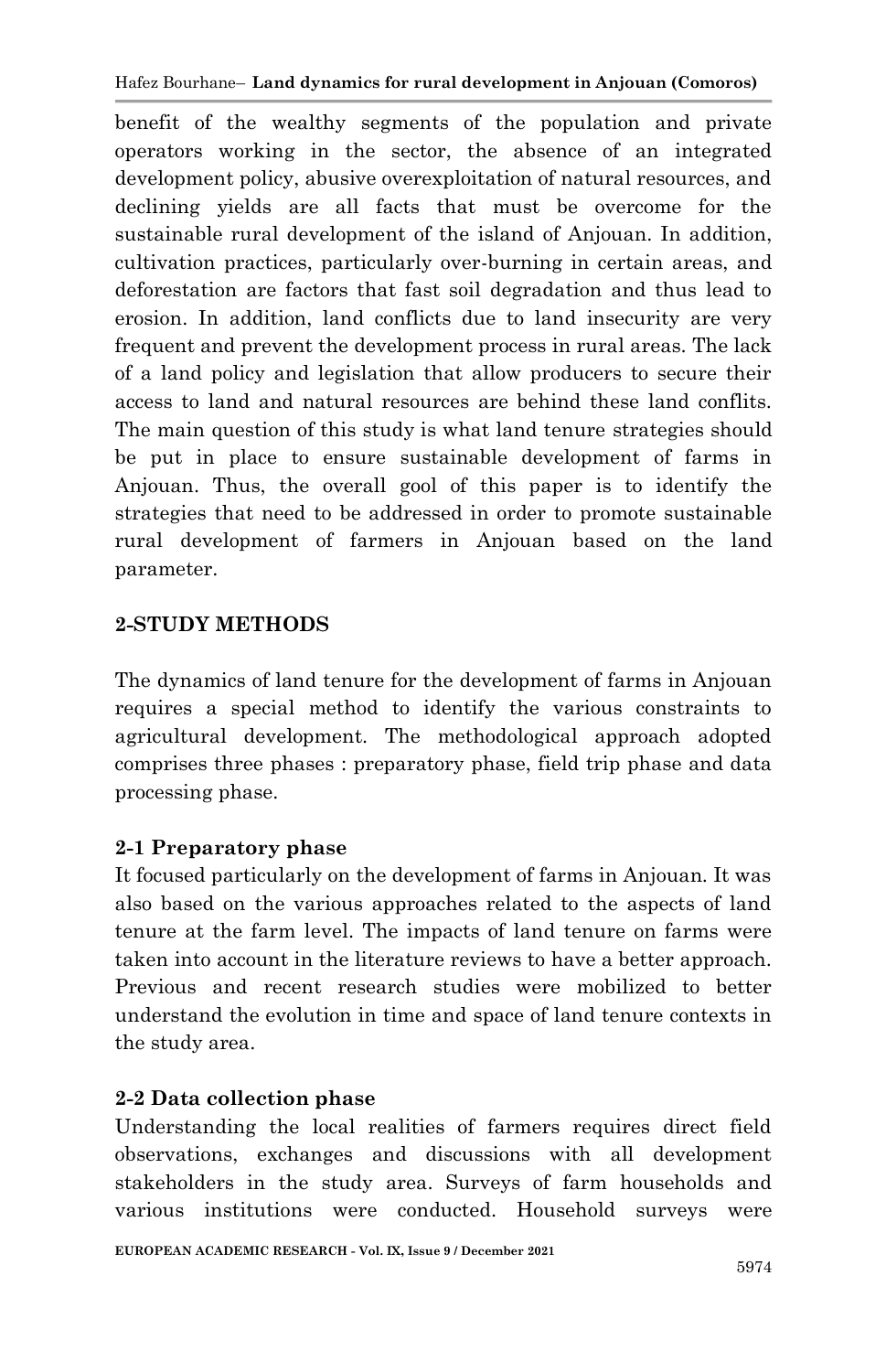benefit of the wealthy segments of the population and private operators working in the sector, the absence of an integrated development policy, abusive overexploitation of natural resources, and declining yields are all facts that must be overcome for the sustainable rural development of the island of Anjouan. In addition, cultivation practices, particularly over-burning in certain areas, and deforestation are factors that fast soil degradation and thus lead to erosion. In addition, land conflicts due to land insecurity are very frequent and prevent the development process in rural areas. The lack of a land policy and legislation that allow producers to secure their access to land and natural resources are behind these land conflits. The main question of this study is what land tenure strategies should be put in place to ensure sustainable development of farms in Anjouan. Thus, the overall gool of this paper is to identify the strategies that need to be addressed in order to promote sustainable rural development of farmers in Anjouan based on the land parameter.

### **2-STUDY METHODS**

The dynamics of land tenure for the development of farms in Anjouan requires a special method to identify the various constraints to agricultural development. The methodological approach adopted comprises three phases : preparatory phase, field trip phase and data processing phase.

### **2-1 Preparatory phase**

It focused particularly on the development of farms in Anjouan. It was also based on the various approaches related to the aspects of land tenure at the farm level. The impacts of land tenure on farms were taken into account in the literature reviews to have a better approach. Previous and recent research studies were mobilized to better understand the evolution in time and space of land tenure contexts in the study area.

### **2-2 Data collection phase**

Understanding the local realities of farmers requires direct field observations, exchanges and discussions with all development stakeholders in the study area. Surveys of farm households and various institutions were conducted. Household surveys were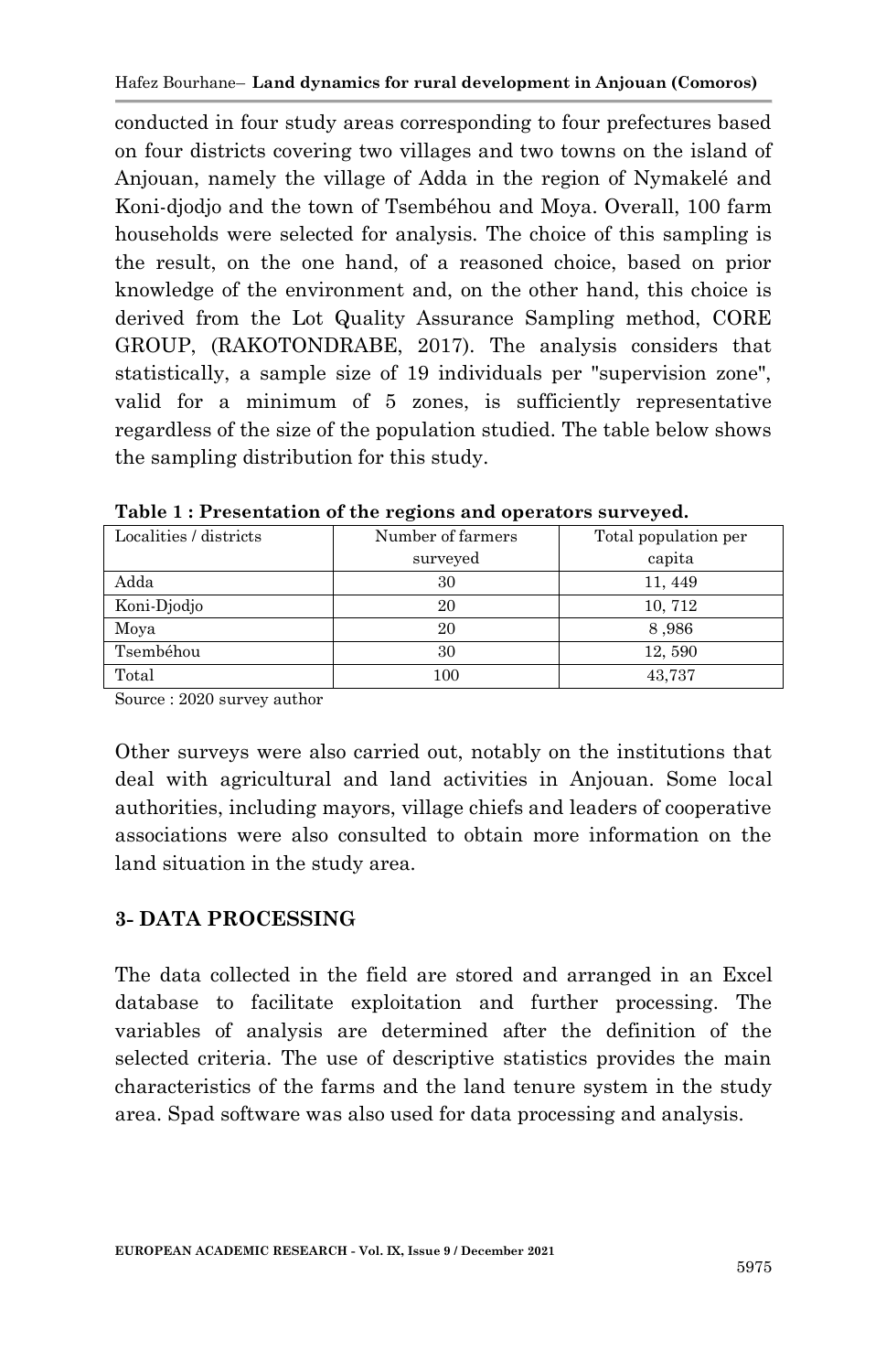conducted in four study areas corresponding to four prefectures based on four districts covering two villages and two towns on the island of Anjouan, namely the village of Adda in the region of Nymakelé and Koni-djodjo and the town of Tsembéhou and Moya. Overall, 100 farm households were selected for analysis. The choice of this sampling is the result, on the one hand, of a reasoned choice, based on prior knowledge of the environment and, on the other hand, this choice is derived from the Lot Quality Assurance Sampling method, CORE GROUP, (RAKOTONDRABE, 2017). The analysis considers that statistically, a sample size of 19 individuals per "supervision zone", valid for a minimum of 5 zones, is sufficiently representative regardless of the size of the population studied. The table below shows the sampling distribution for this study.

| Localities / districts | Number of farmers | Total population per |  |  |
|------------------------|-------------------|----------------------|--|--|
|                        | surveyed          | capita               |  |  |
| Adda                   | 30                | 11, 449              |  |  |
| Koni-Djodjo            | 20                | 10, 712              |  |  |
| Moya                   | 20                | 8,986                |  |  |
| Tsembéhou              | 30                | 12,590               |  |  |
| Total                  | 100               | 43,737               |  |  |

**Table 1 : Presentation of the regions and operators surveyed.**

Source : 2020 survey author

Other surveys were also carried out, notably on the institutions that deal with agricultural and land activities in Anjouan. Some local authorities, including mayors, village chiefs and leaders of cooperative associations were also consulted to obtain more information on the land situation in the study area.

### **3- DATA PROCESSING**

The data collected in the field are stored and arranged in an Excel database to facilitate exploitation and further processing. The variables of analysis are determined after the definition of the selected criteria. The use of descriptive statistics provides the main characteristics of the farms and the land tenure system in the study area. Spad software was also used for data processing and analysis.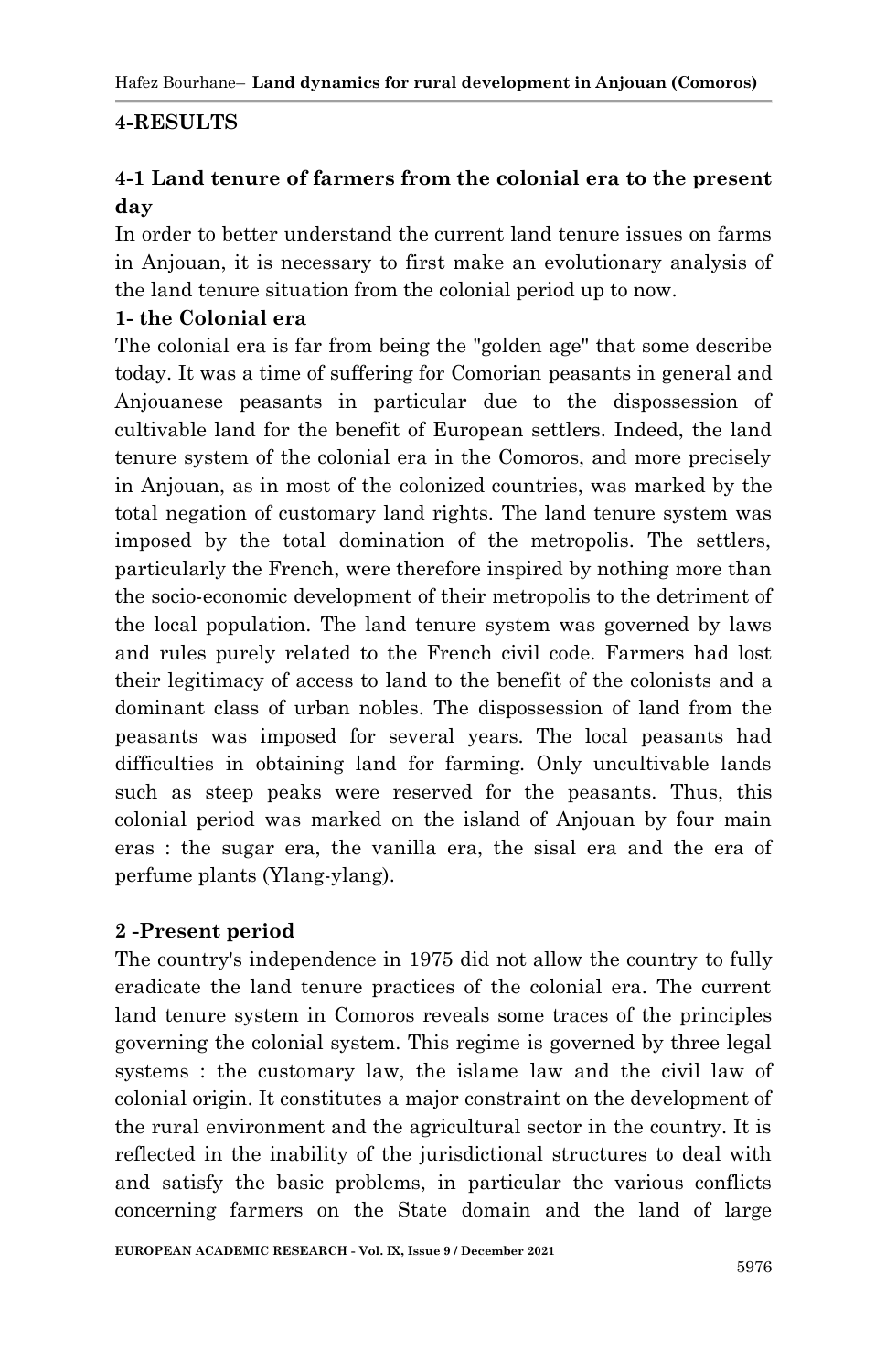### **4-RESULTS**

### **4-1 Land tenure of farmers from the colonial era to the present day**

In order to better understand the current land tenure issues on farms in Anjouan, it is necessary to first make an evolutionary analysis of the land tenure situation from the colonial period up to now.

### **1- the Colonial era**

The colonial era is far from being the "golden age" that some describe today. It was a time of suffering for Comorian peasants in general and Anjouanese peasants in particular due to the dispossession of cultivable land for the benefit of European settlers. Indeed, the land tenure system of the colonial era in the Comoros, and more precisely in Anjouan, as in most of the colonized countries, was marked by the total negation of customary land rights. The land tenure system was imposed by the total domination of the metropolis. The settlers, particularly the French, were therefore inspired by nothing more than the socio-economic development of their metropolis to the detriment of the local population. The land tenure system was governed by laws and rules purely related to the French civil code. Farmers had lost their legitimacy of access to land to the benefit of the colonists and a dominant class of urban nobles. The dispossession of land from the peasants was imposed for several years. The local peasants had difficulties in obtaining land for farming. Only uncultivable lands such as steep peaks were reserved for the peasants. Thus, this colonial period was marked on the island of Anjouan by four main eras : the sugar era, the vanilla era, the sisal era and the era of perfume plants (Ylang-ylang).

### **2 -Present period**

The country's independence in 1975 did not allow the country to fully eradicate the land tenure practices of the colonial era. The current land tenure system in Comoros reveals some traces of the principles governing the colonial system. This regime is governed by three legal systems : the customary law, the islame law and the civil law of colonial origin. It constitutes a major constraint on the development of the rural environment and the agricultural sector in the country. It is reflected in the inability of the jurisdictional structures to deal with and satisfy the basic problems, in particular the various conflicts concerning farmers on the State domain and the land of large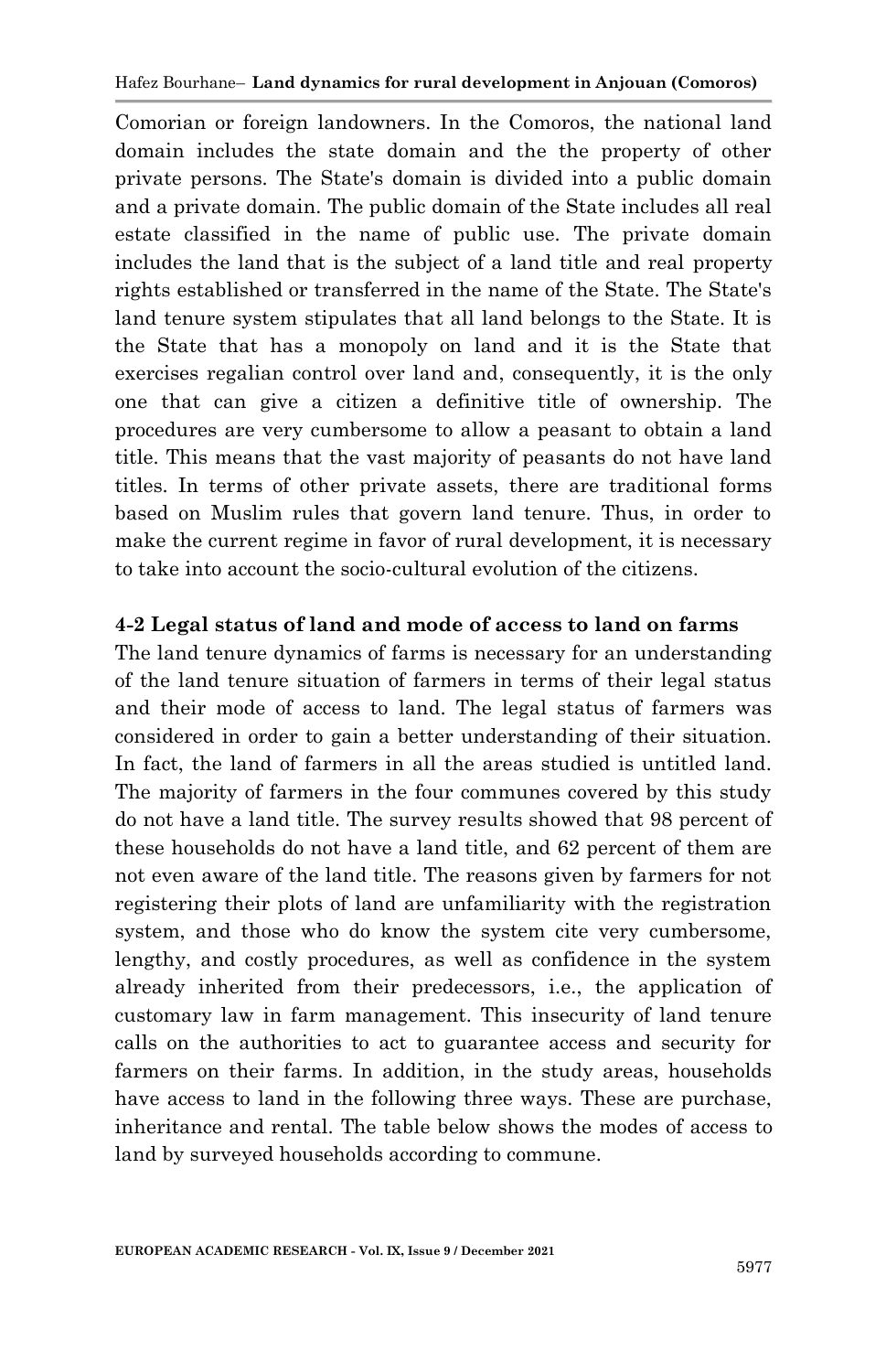Comorian or foreign landowners. In the Comoros, the national land domain includes the state domain and the the property of other private persons. The State's domain is divided into a public domain and a private domain. The public domain of the State includes all real estate classified in the name of public use. The private domain includes the land that is the subject of a land title and real property rights established or transferred in the name of the State. The State's land tenure system stipulates that all land belongs to the State. It is the State that has a monopoly on land and it is the State that exercises regalian control over land and, consequently, it is the only one that can give a citizen a definitive title of ownership. The procedures are very cumbersome to allow a peasant to obtain a land title. This means that the vast majority of peasants do not have land titles. In terms of other private assets, there are traditional forms based on Muslim rules that govern land tenure. Thus, in order to make the current regime in favor of rural development, it is necessary to take into account the socio-cultural evolution of the citizens.

### **4-2 Legal status of land and mode of access to land on farms**

The land tenure dynamics of farms is necessary for an understanding of the land tenure situation of farmers in terms of their legal status and their mode of access to land. The legal status of farmers was considered in order to gain a better understanding of their situation. In fact, the land of farmers in all the areas studied is untitled land. The majority of farmers in the four communes covered by this study do not have a land title. The survey results showed that 98 percent of these households do not have a land title, and 62 percent of them are not even aware of the land title. The reasons given by farmers for not registering their plots of land are unfamiliarity with the registration system, and those who do know the system cite very cumbersome, lengthy, and costly procedures, as well as confidence in the system already inherited from their predecessors, i.e., the application of customary law in farm management. This insecurity of land tenure calls on the authorities to act to guarantee access and security for farmers on their farms. In addition, in the study areas, households have access to land in the following three ways. These are purchase, inheritance and rental. The table below shows the modes of access to land by surveyed households according to commune.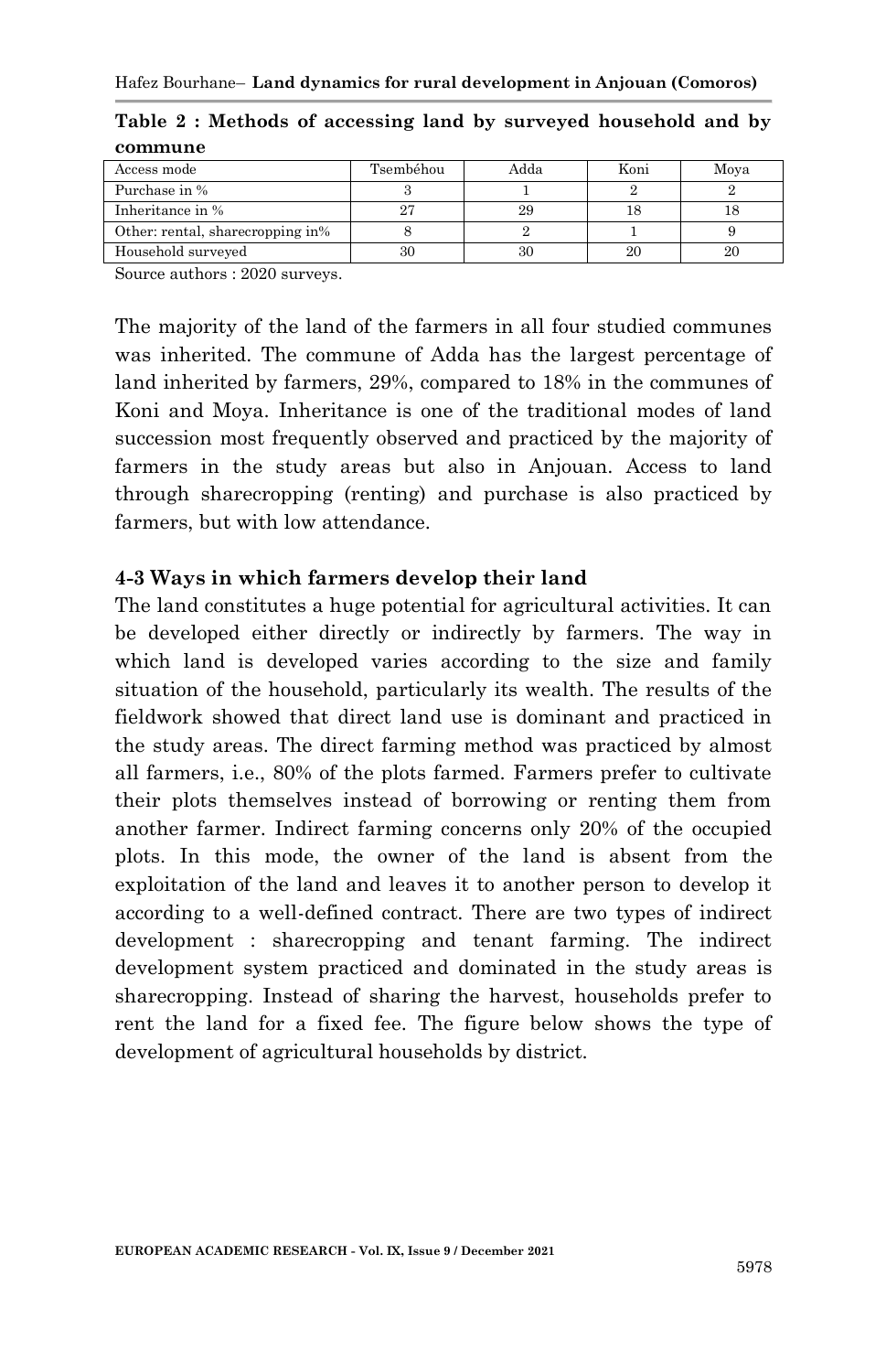| Access mode                      | Tsembéhou | Adda | Koni | Moya |
|----------------------------------|-----------|------|------|------|
| Purchase in %                    |           |      |      |      |
| Inheritance in %                 | ന         | 29   |      |      |
| Other: rental, sharecropping in% |           |      |      |      |
| Household surveyed               | 30        | 30   | 20   | 20   |

| Table 2: Methods of accessing land by surveyed household and by |  |  |  |  |
|-----------------------------------------------------------------|--|--|--|--|
| commune                                                         |  |  |  |  |

Source authors : 2020 surveys.

The majority of the land of the farmers in all four studied communes was inherited. The commune of Adda has the largest percentage of land inherited by farmers, 29%, compared to 18% in the communes of Koni and Moya. Inheritance is one of the traditional modes of land succession most frequently observed and practiced by the majority of farmers in the study areas but also in Anjouan. Access to land through sharecropping (renting) and purchase is also practiced by farmers, but with low attendance.

#### **4-3 Ways in which farmers develop their land**

The land constitutes a huge potential for agricultural activities. It can be developed either directly or indirectly by farmers. The way in which land is developed varies according to the size and family situation of the household, particularly its wealth. The results of the fieldwork showed that direct land use is dominant and practiced in the study areas. The direct farming method was practiced by almost all farmers, i.e., 80% of the plots farmed. Farmers prefer to cultivate their plots themselves instead of borrowing or renting them from another farmer. Indirect farming concerns only 20% of the occupied plots. In this mode, the owner of the land is absent from the exploitation of the land and leaves it to another person to develop it according to a well-defined contract. There are two types of indirect development : sharecropping and tenant farming. The indirect development system practiced and dominated in the study areas is sharecropping. Instead of sharing the harvest, households prefer to rent the land for a fixed fee. The figure below shows the type of development of agricultural households by district.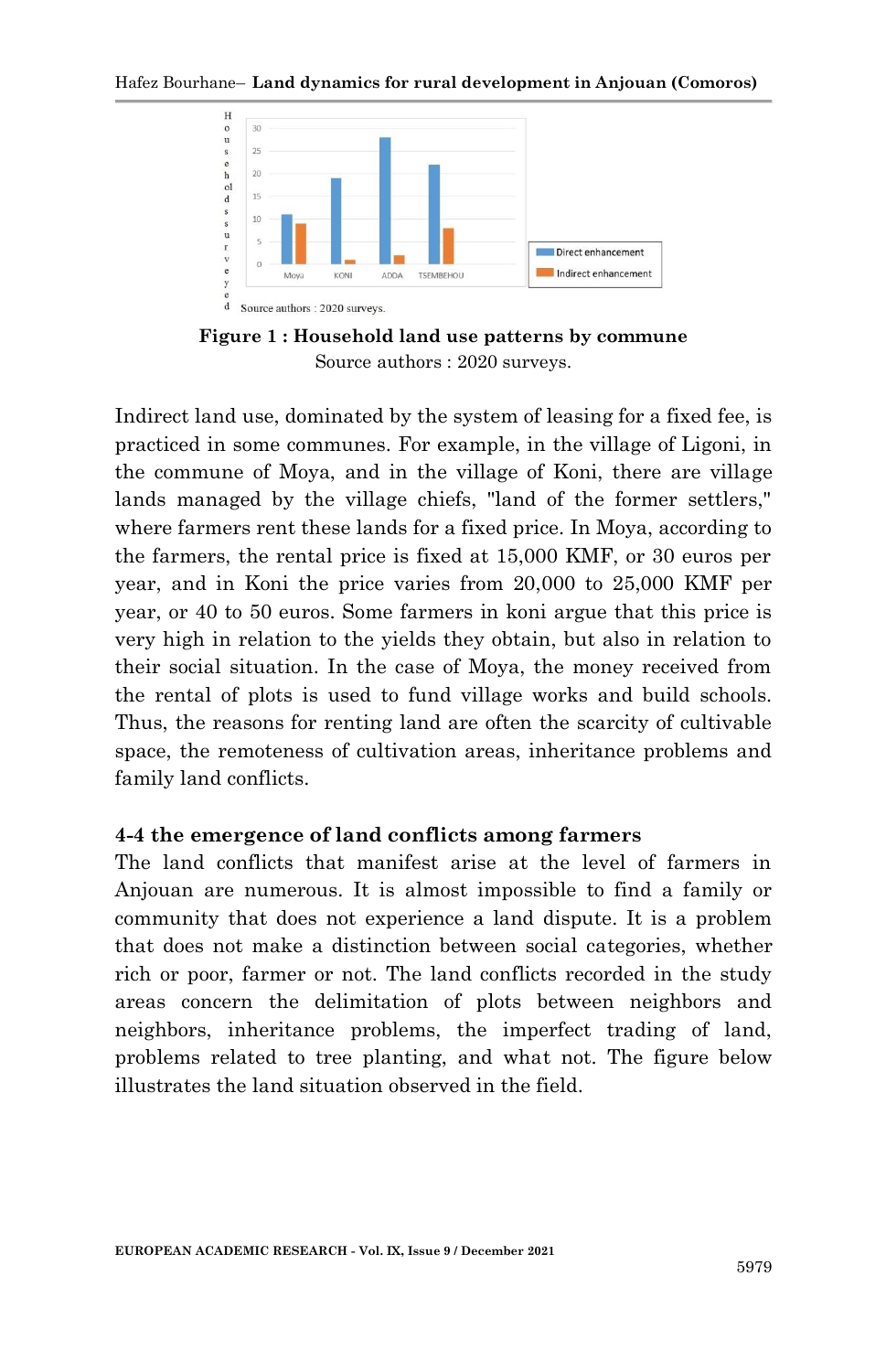

**Figure 1 : Household land use patterns by commune** Source authors : 2020 surveys.

Indirect land use, dominated by the system of leasing for a fixed fee, is practiced in some communes. For example, in the village of Ligoni, in the commune of Moya, and in the village of Koni, there are village lands managed by the village chiefs, "land of the former settlers," where farmers rent these lands for a fixed price. In Moya, according to the farmers, the rental price is fixed at 15,000 KMF, or 30 euros per year, and in Koni the price varies from 20,000 to 25,000 KMF per year, or 40 to 50 euros. Some farmers in koni argue that this price is very high in relation to the yields they obtain, but also in relation to their social situation. In the case of Moya, the money received from the rental of plots is used to fund village works and build schools. Thus, the reasons for renting land are often the scarcity of cultivable space, the remoteness of cultivation areas, inheritance problems and family land conflicts.

#### **4-4 the emergence of land conflicts among farmers**

The land conflicts that manifest arise at the level of farmers in Anjouan are numerous. It is almost impossible to find a family or community that does not experience a land dispute. It is a problem that does not make a distinction between social categories, whether rich or poor, farmer or not. The land conflicts recorded in the study areas concern the delimitation of plots between neighbors and neighbors, inheritance problems, the imperfect trading of land, problems related to tree planting, and what not. The figure below illustrates the land situation observed in the field.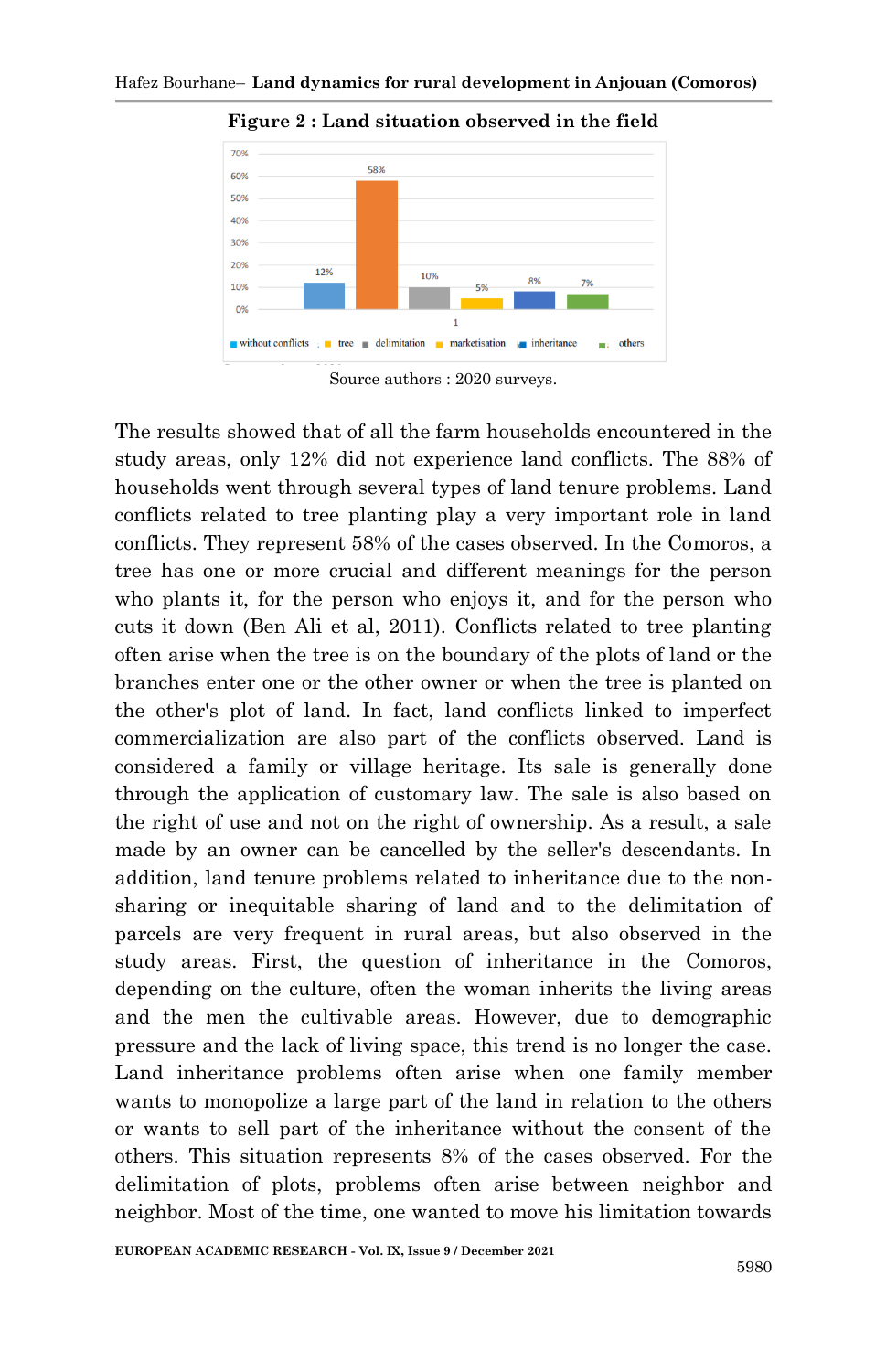

**Figure 2 : Land situation observed in the field**

Source authors : 2020 surveys.

The results showed that of all the farm households encountered in the study areas, only 12% did not experience land conflicts. The 88% of households went through several types of land tenure problems. Land conflicts related to tree planting play a very important role in land conflicts. They represent 58% of the cases observed. In the Comoros, a tree has one or more crucial and different meanings for the person who plants it, for the person who enjoys it, and for the person who cuts it down (Ben Ali et al, 2011). Conflicts related to tree planting often arise when the tree is on the boundary of the plots of land or the branches enter one or the other owner or when the tree is planted on the other's plot of land. In fact, land conflicts linked to imperfect commercialization are also part of the conflicts observed. Land is considered a family or village heritage. Its sale is generally done through the application of customary law. The sale is also based on the right of use and not on the right of ownership. As a result, a sale made by an owner can be cancelled by the seller's descendants. In addition, land tenure problems related to inheritance due to the nonsharing or inequitable sharing of land and to the delimitation of parcels are very frequent in rural areas, but also observed in the study areas. First, the question of inheritance in the Comoros, depending on the culture, often the woman inherits the living areas and the men the cultivable areas. However, due to demographic pressure and the lack of living space, this trend is no longer the case. Land inheritance problems often arise when one family member wants to monopolize a large part of the land in relation to the others or wants to sell part of the inheritance without the consent of the others. This situation represents 8% of the cases observed. For the delimitation of plots, problems often arise between neighbor and neighbor. Most of the time, one wanted to move his limitation towards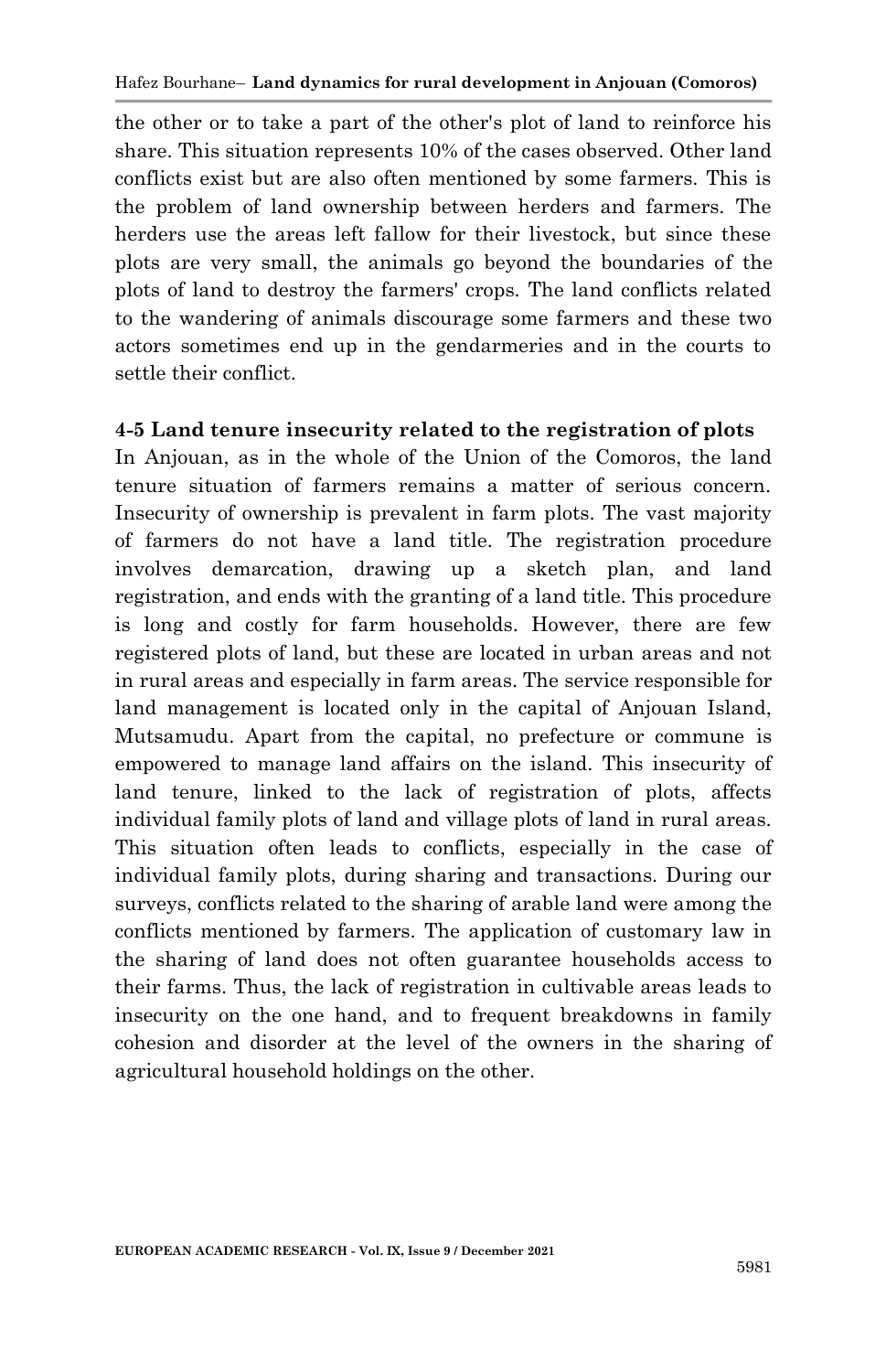the other or to take a part of the other's plot of land to reinforce his share. This situation represents 10% of the cases observed. Other land conflicts exist but are also often mentioned by some farmers. This is the problem of land ownership between herders and farmers. The herders use the areas left fallow for their livestock, but since these plots are very small, the animals go beyond the boundaries of the plots of land to destroy the farmers' crops. The land conflicts related to the wandering of animals discourage some farmers and these two actors sometimes end up in the gendarmeries and in the courts to settle their conflict.

#### **4-5 Land tenure insecurity related to the registration of plots**

In Anjouan, as in the whole of the Union of the Comoros, the land tenure situation of farmers remains a matter of serious concern. Insecurity of ownership is prevalent in farm plots. The vast majority of farmers do not have a land title. The registration procedure involves demarcation, drawing up a sketch plan, and land registration, and ends with the granting of a land title. This procedure is long and costly for farm households. However, there are few registered plots of land, but these are located in urban areas and not in rural areas and especially in farm areas. The service responsible for land management is located only in the capital of Anjouan Island, Mutsamudu. Apart from the capital, no prefecture or commune is empowered to manage land affairs on the island. This insecurity of land tenure, linked to the lack of registration of plots, affects individual family plots of land and village plots of land in rural areas. This situation often leads to conflicts, especially in the case of individual family plots, during sharing and transactions. During our surveys, conflicts related to the sharing of arable land were among the conflicts mentioned by farmers. The application of customary law in the sharing of land does not often guarantee households access to their farms. Thus, the lack of registration in cultivable areas leads to insecurity on the one hand, and to frequent breakdowns in family cohesion and disorder at the level of the owners in the sharing of agricultural household holdings on the other.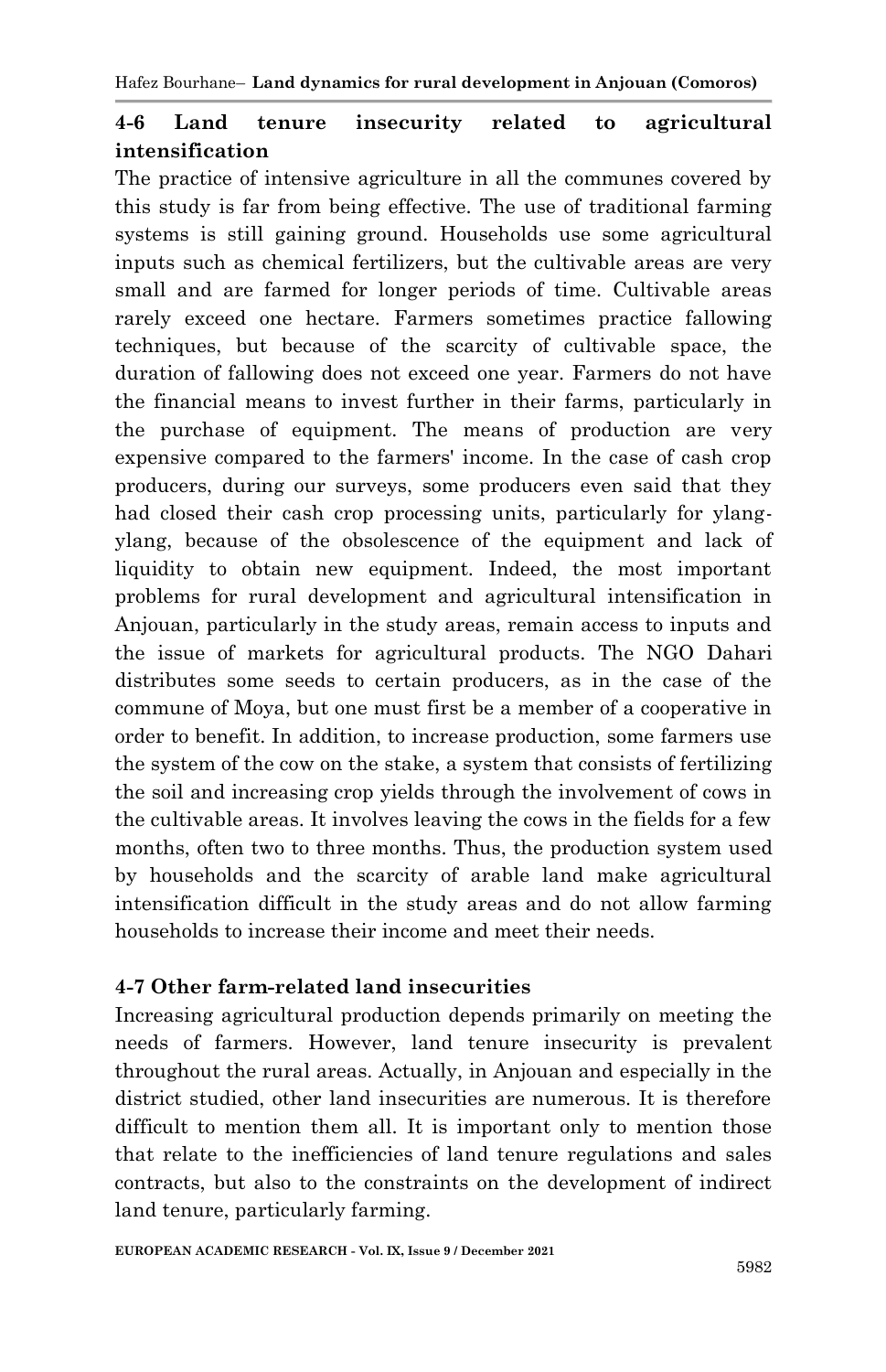### **4-6 Land tenure insecurity related to agricultural intensification**

The practice of intensive agriculture in all the communes covered by this study is far from being effective. The use of traditional farming systems is still gaining ground. Households use some agricultural inputs such as chemical fertilizers, but the cultivable areas are very small and are farmed for longer periods of time. Cultivable areas rarely exceed one hectare. Farmers sometimes practice fallowing techniques, but because of the scarcity of cultivable space, the duration of fallowing does not exceed one year. Farmers do not have the financial means to invest further in their farms, particularly in the purchase of equipment. The means of production are very expensive compared to the farmers' income. In the case of cash crop producers, during our surveys, some producers even said that they had closed their cash crop processing units, particularly for ylangylang, because of the obsolescence of the equipment and lack of liquidity to obtain new equipment. Indeed, the most important problems for rural development and agricultural intensification in Anjouan, particularly in the study areas, remain access to inputs and the issue of markets for agricultural products. The NGO Dahari distributes some seeds to certain producers, as in the case of the commune of Moya, but one must first be a member of a cooperative in order to benefit. In addition, to increase production, some farmers use the system of the cow on the stake, a system that consists of fertilizing the soil and increasing crop yields through the involvement of cows in the cultivable areas. It involves leaving the cows in the fields for a few months, often two to three months. Thus, the production system used by households and the scarcity of arable land make agricultural intensification difficult in the study areas and do not allow farming households to increase their income and meet their needs.

### **4-7 Other farm-related land insecurities**

Increasing agricultural production depends primarily on meeting the needs of farmers. However, land tenure insecurity is prevalent throughout the rural areas. Actually, in Anjouan and especially in the district studied, other land insecurities are numerous. It is therefore difficult to mention them all. It is important only to mention those that relate to the inefficiencies of land tenure regulations and sales contracts, but also to the constraints on the development of indirect land tenure, particularly farming.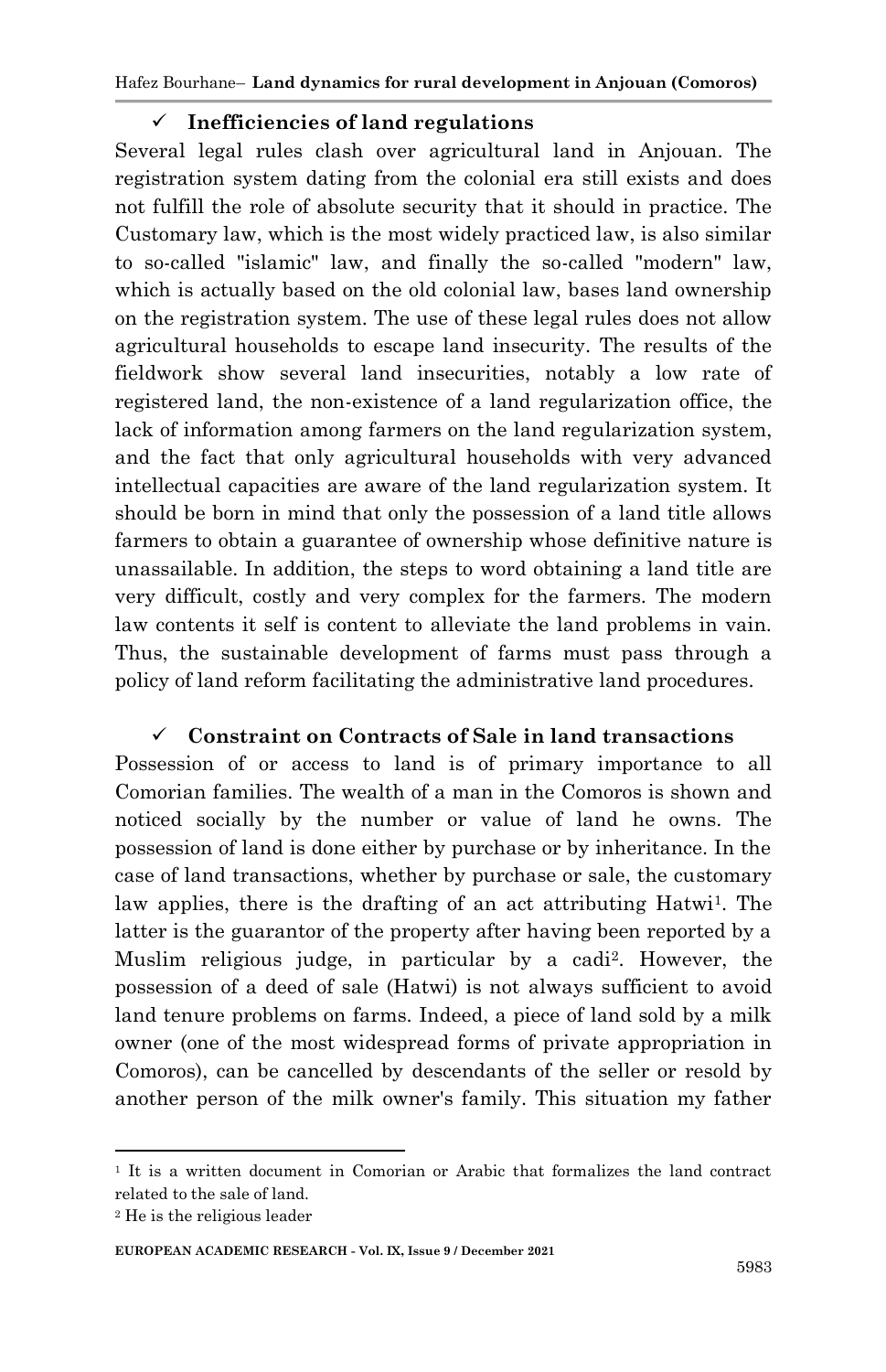Hafez Bourhane– **Land dynamics for rural development in Anjouan (Comoros)**

#### **Inefficiencies of land regulations**

Several legal rules clash over agricultural land in Anjouan. The registration system dating from the colonial era still exists and does not fulfill the role of absolute security that it should in practice. The Customary law, which is the most widely practiced law, is also similar to so-called "islamic" law, and finally the so-called "modern" law, which is actually based on the old colonial law, bases land ownership on the registration system. The use of these legal rules does not allow agricultural households to escape land insecurity. The results of the fieldwork show several land insecurities, notably a low rate of registered land, the non-existence of a land regularization office, the lack of information among farmers on the land regularization system, and the fact that only agricultural households with very advanced intellectual capacities are aware of the land regularization system. It should be born in mind that only the possession of a land title allows farmers to obtain a guarantee of ownership whose definitive nature is unassailable. In addition, the steps to word obtaining a land title are very difficult, costly and very complex for the farmers. The modern law contents it self is content to alleviate the land problems in vain. Thus, the sustainable development of farms must pass through a policy of land reform facilitating the administrative land procedures.

#### **Constraint on Contracts of Sale in land transactions**

Possession of or access to land is of primary importance to all Comorian families. The wealth of a man in the Comoros is shown and noticed socially by the number or value of land he owns. The possession of land is done either by purchase or by inheritance. In the case of land transactions, whether by purchase or sale, the customary law applies, there is the drafting of an act attributing  $Hatu$ <sup>1</sup>. The latter is the guarantor of the property after having been reported by a Muslim religious judge, in particular by a cadi2. However, the possession of a deed of sale (Hatwi) is not always sufficient to avoid land tenure problems on farms. Indeed, a piece of land sold by a milk owner (one of the most widespread forms of private appropriation in Comoros), can be cancelled by descendants of the seller or resold by another person of the milk owner's family. This situation my father

1

<sup>1</sup> It is a written document in Comorian or Arabic that formalizes the land contract related to the sale of land.

<sup>2</sup> He is the religious leader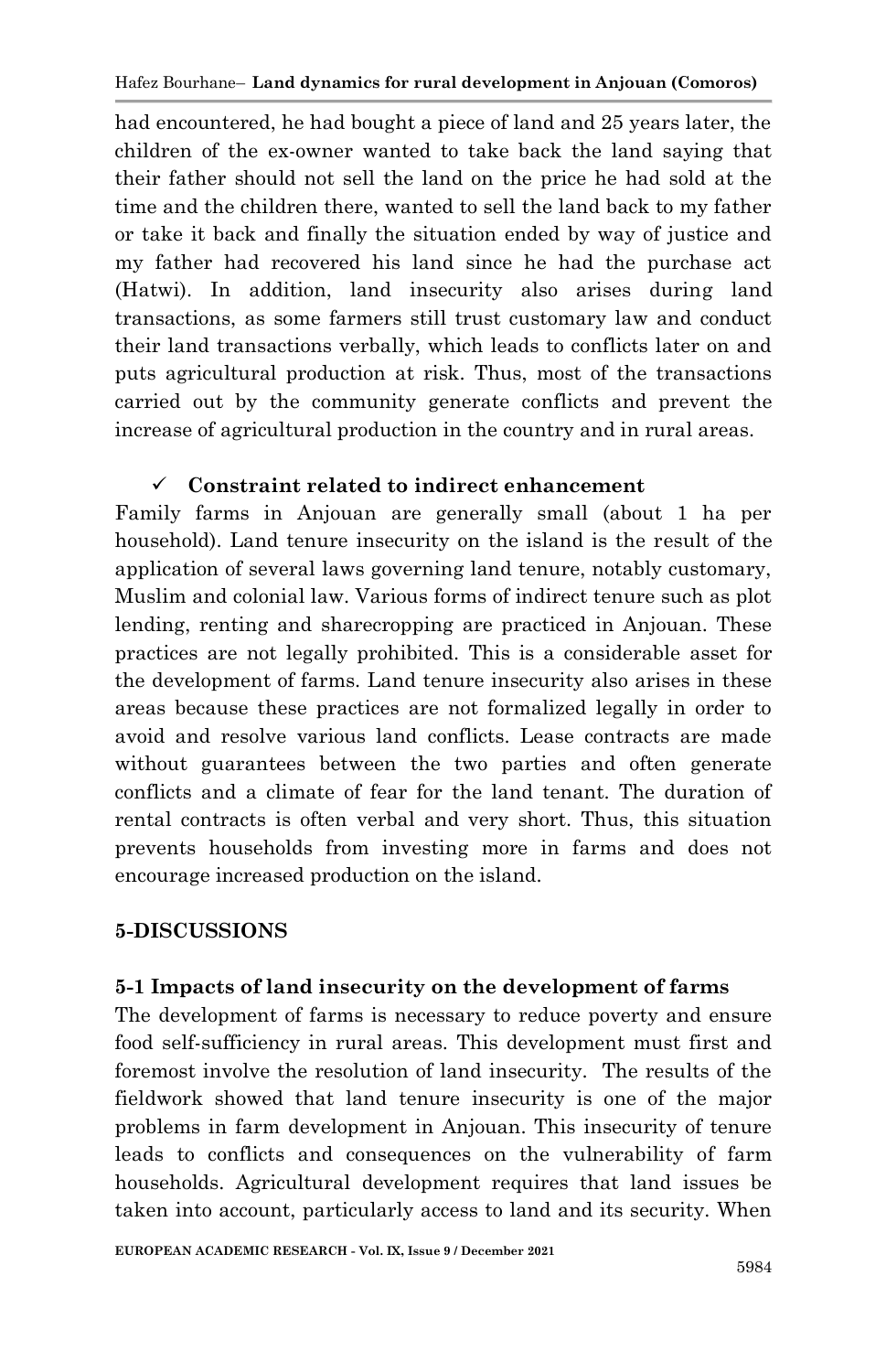had encountered, he had bought a piece of land and 25 years later, the children of the ex-owner wanted to take back the land saying that their father should not sell the land on the price he had sold at the time and the children there, wanted to sell the land back to my father or take it back and finally the situation ended by way of justice and my father had recovered his land since he had the purchase act (Hatwi). In addition, land insecurity also arises during land transactions, as some farmers still trust customary law and conduct their land transactions verbally, which leads to conflicts later on and puts agricultural production at risk. Thus, most of the transactions carried out by the community generate conflicts and prevent the increase of agricultural production in the country and in rural areas.

### **Constraint related to indirect enhancement**

Family farms in Anjouan are generally small (about 1 ha per household). Land tenure insecurity on the island is the result of the application of several laws governing land tenure, notably customary, Muslim and colonial law. Various forms of indirect tenure such as plot lending, renting and sharecropping are practiced in Anjouan. These practices are not legally prohibited. This is a considerable asset for the development of farms. Land tenure insecurity also arises in these areas because these practices are not formalized legally in order to avoid and resolve various land conflicts. Lease contracts are made without guarantees between the two parties and often generate conflicts and a climate of fear for the land tenant. The duration of rental contracts is often verbal and very short. Thus, this situation prevents households from investing more in farms and does not encourage increased production on the island.

### **5-DISCUSSIONS**

### **5-1 Impacts of land insecurity on the development of farms**

The development of farms is necessary to reduce poverty and ensure food self-sufficiency in rural areas. This development must first and foremost involve the resolution of land insecurity. The results of the fieldwork showed that land tenure insecurity is one of the major problems in farm development in Anjouan. This insecurity of tenure leads to conflicts and consequences on the vulnerability of farm households. Agricultural development requires that land issues be taken into account, particularly access to land and its security. When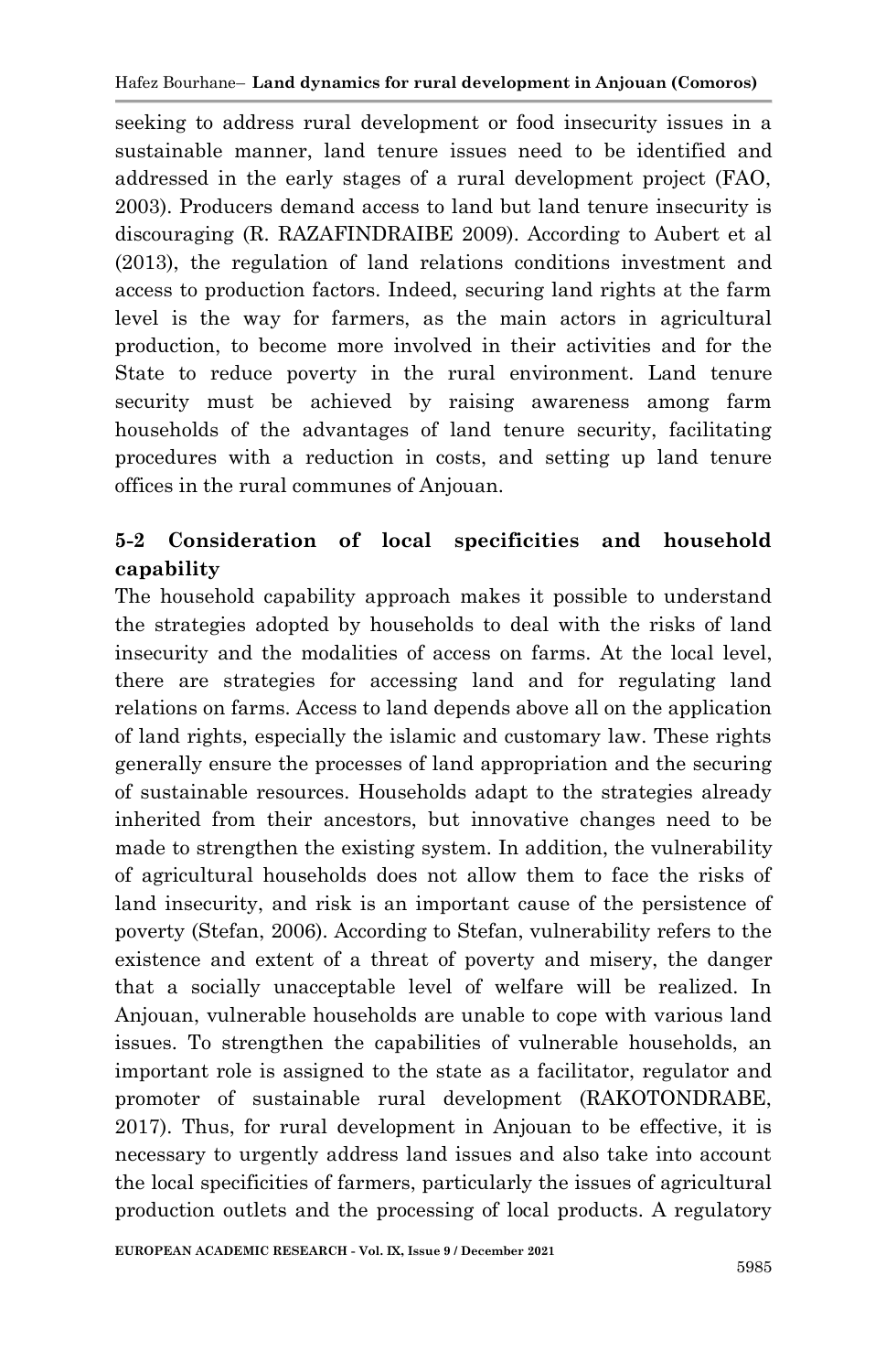seeking to address rural development or food insecurity issues in a sustainable manner, land tenure issues need to be identified and addressed in the early stages of a rural development project (FAO, 2003). Producers demand access to land but land tenure insecurity is discouraging (R. RAZAFINDRAIBE 2009). According to Aubert et al (2013), the regulation of land relations conditions investment and access to production factors. Indeed, securing land rights at the farm level is the way for farmers, as the main actors in agricultural production, to become more involved in their activities and for the State to reduce poverty in the rural environment. Land tenure security must be achieved by raising awareness among farm households of the advantages of land tenure security, facilitating procedures with a reduction in costs, and setting up land tenure offices in the rural communes of Anjouan.

## **5-2 Consideration of local specificities and household capability**

The household capability approach makes it possible to understand the strategies adopted by households to deal with the risks of land insecurity and the modalities of access on farms. At the local level, there are strategies for accessing land and for regulating land relations on farms. Access to land depends above all on the application of land rights, especially the islamic and customary law. These rights generally ensure the processes of land appropriation and the securing of sustainable resources. Households adapt to the strategies already inherited from their ancestors, but innovative changes need to be made to strengthen the existing system. In addition, the vulnerability of agricultural households does not allow them to face the risks of land insecurity, and risk is an important cause of the persistence of poverty (Stefan, 2006). According to Stefan, vulnerability refers to the existence and extent of a threat of poverty and misery, the danger that a socially unacceptable level of welfare will be realized. In Anjouan, vulnerable households are unable to cope with various land issues. To strengthen the capabilities of vulnerable households, an important role is assigned to the state as a facilitator, regulator and promoter of sustainable rural development (RAKOTONDRABE, 2017). Thus, for rural development in Anjouan to be effective, it is necessary to urgently address land issues and also take into account the local specificities of farmers, particularly the issues of agricultural production outlets and the processing of local products. A regulatory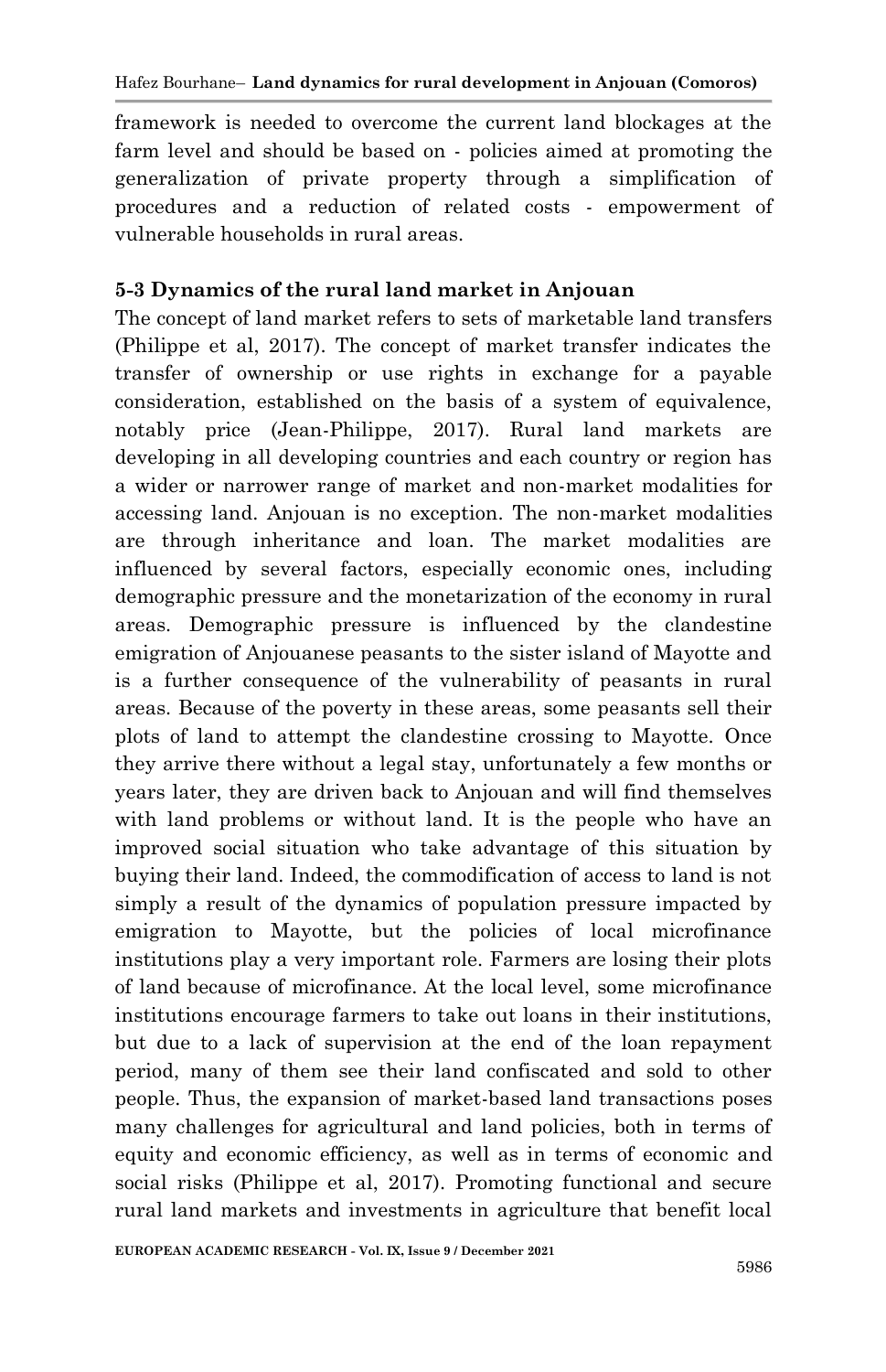framework is needed to overcome the current land blockages at the farm level and should be based on - policies aimed at promoting the generalization of private property through a simplification of procedures and a reduction of related costs - empowerment of vulnerable households in rural areas.

### **5-3 Dynamics of the rural land market in Anjouan**

The concept of land market refers to sets of marketable land transfers (Philippe et al, 2017). The concept of market transfer indicates the transfer of ownership or use rights in exchange for a payable consideration, established on the basis of a system of equivalence, notably price (Jean-Philippe, 2017). Rural land markets are developing in all developing countries and each country or region has a wider or narrower range of market and non-market modalities for accessing land. Anjouan is no exception. The non-market modalities are through inheritance and loan. The market modalities are influenced by several factors, especially economic ones, including demographic pressure and the monetarization of the economy in rural areas. Demographic pressure is influenced by the clandestine emigration of Anjouanese peasants to the sister island of Mayotte and is a further consequence of the vulnerability of peasants in rural areas. Because of the poverty in these areas, some peasants sell their plots of land to attempt the clandestine crossing to Mayotte. Once they arrive there without a legal stay, unfortunately a few months or years later, they are driven back to Anjouan and will find themselves with land problems or without land. It is the people who have an improved social situation who take advantage of this situation by buying their land. Indeed, the commodification of access to land is not simply a result of the dynamics of population pressure impacted by emigration to Mayotte, but the policies of local microfinance institutions play a very important role. Farmers are losing their plots of land because of microfinance. At the local level, some microfinance institutions encourage farmers to take out loans in their institutions, but due to a lack of supervision at the end of the loan repayment period, many of them see their land confiscated and sold to other people. Thus, the expansion of market-based land transactions poses many challenges for agricultural and land policies, both in terms of equity and economic efficiency, as well as in terms of economic and social risks (Philippe et al, 2017). Promoting functional and secure rural land markets and investments in agriculture that benefit local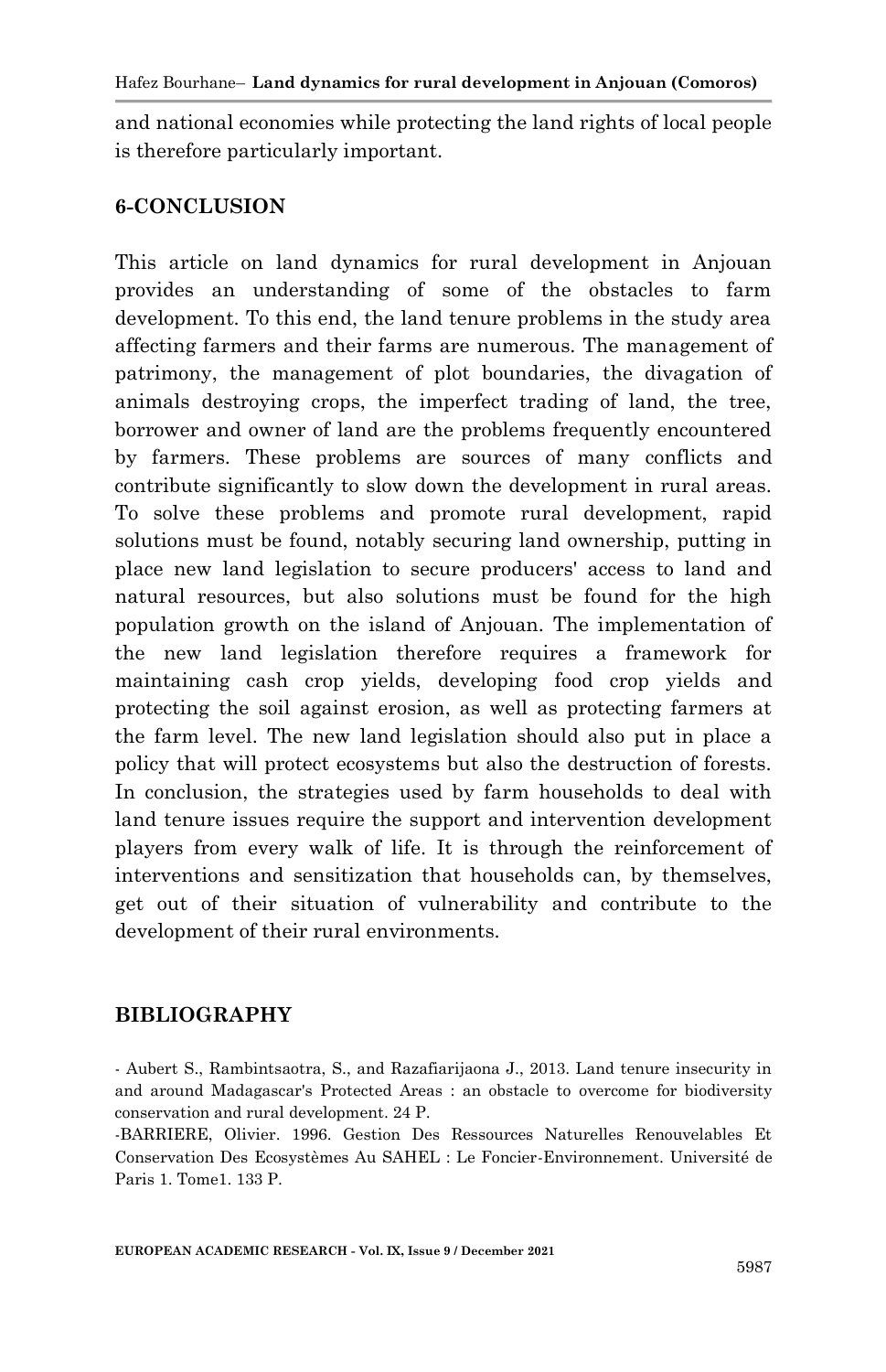and national economies while protecting the land rights of local people is therefore particularly important.

#### **6-CONCLUSION**

This article on land dynamics for rural development in Anjouan provides an understanding of some of the obstacles to farm development. To this end, the land tenure problems in the study area affecting farmers and their farms are numerous. The management of patrimony, the management of plot boundaries, the divagation of animals destroying crops, the imperfect trading of land, the tree, borrower and owner of land are the problems frequently encountered by farmers. These problems are sources of many conflicts and contribute significantly to slow down the development in rural areas. To solve these problems and promote rural development, rapid solutions must be found, notably securing land ownership, putting in place new land legislation to secure producers' access to land and natural resources, but also solutions must be found for the high population growth on the island of Anjouan. The implementation of the new land legislation therefore requires a framework for maintaining cash crop yields, developing food crop yields and protecting the soil against erosion, as well as protecting farmers at the farm level. The new land legislation should also put in place a policy that will protect ecosystems but also the destruction of forests. In conclusion, the strategies used by farm households to deal with land tenure issues require the support and intervention development players from every walk of life. It is through the reinforcement of interventions and sensitization that households can, by themselves, get out of their situation of vulnerability and contribute to the development of their rural environments.

#### **BIBLIOGRAPHY**

- Aubert S., Rambintsaotra, S., and Razafiarijaona J., 2013. Land tenure insecurity in and around Madagascar's Protected Areas : an obstacle to overcome for biodiversity conservation and rural development. 24 P.

-BARRIERE, Olivier. 1996. Gestion Des Ressources Naturelles Renouvelables Et Conservation Des Ecosystèmes Au SAHEL : Le Foncier-Environnement. Université de Paris 1. Tome1. 133 P.